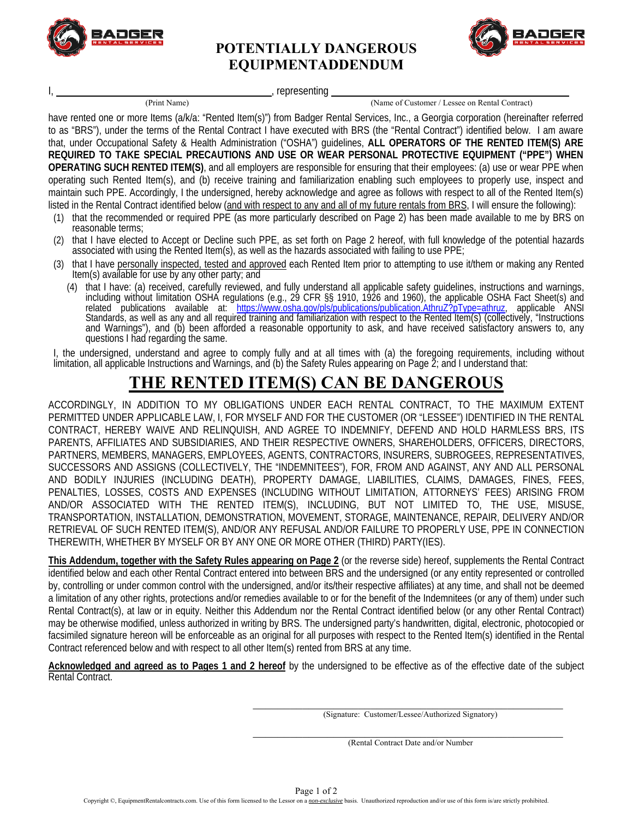

## **POTENTIALLY DANGEROUS EQUIPMENTADDENDUM**



, representing

(Print Name) (Name of Customer / Lessee on Rental Contract)

have rented one or more Items (a/k/a: "Rented Item(s)") from Badger Rental Services, Inc., a Georgia corporation (hereinafter referred to as "BRS"), under the terms of the Rental Contract I have executed with BRS (the "Rental Contract") identified below. I am aware that, under Occupational Safety & Health Administration ("OSHA") guidelines, **ALL OPERATORS OF THE RENTED ITEM(S) ARE REQUIRED TO TAKE SPECIAL PRECAUTIONS AND USE OR WEAR PERSONAL PROTECTIVE EQUIPMENT ("PPE") WHEN OPERATING SUCH RENTED ITEM(S)**, and all employers are responsible for ensuring that their employees: (a) use or wear PPE when operating such Rented Item(s), and (b) receive training and familiarization enabling such employees to properly use, inspect and maintain such PPE. Accordingly, I the undersigned, hereby acknowledge and agree as follows with respect to all of the Rented Item(s) listed in the Rental Contract identified below (and with respect to any and all of my future rentals from BRS, I will ensure the following):

- (1) that the recommended or required PPE (as more particularly described on Page 2) has been made available to me by BRS on reasonable terms;
- (2) that I have elected to Accept or Decline such PPE, as set forth on Page 2 hereof, with full knowledge of the potential hazards associated with using the Rented Item(s), as well as the hazards associated with failing to use PPE;
- (3) that I have personally inspected, tested and approved each Rented Item prior to attempting to use it/them or making any Rented Item(s) available for use by any other party; and
	- (4) that I have: (a) received, carefully reviewed, and fully understand all applicable safety guidelines, instructions and warnings,<br>including without limitation OSHA regulations (e.g., 29 CFR §§ 1910, 1926 and 1960), the related publications available at: https://www.osha.gov/pls/publications/publication.AthruZ?pType=athruz, applicable ANSI Standards, as well as any and all required training and familiarization with respect to the Rented Item(s) (collectively, "Instructions and Warnings"), and (b) been afforded a reasonable opportunity to ask, and have receiv questions I had regarding the same.

I, the undersigned, understand and agree to comply fully and at all times with (a) the foregoing requirements, including without limitation, all applicable Instructions and Warnings, and (b) the Safety Rules appearing on Page 2; and I understand that:

## **THE RENTED ITEM(S) CAN BE DANGEROUS**

ACCORDINGLY, IN ADDITION TO MY OBLIGATIONS UNDER EACH RENTAL CONTRACT, TO THE MAXIMUM EXTENT PERMITTED UNDER APPLICABLE LAW, I, FOR MYSELF AND FOR THE CUSTOMER (OR "LESSEE") IDENTIFIED IN THE RENTAL CONTRACT, HEREBY WAIVE AND RELINQUISH, AND AGREE TO INDEMNIFY, DEFEND AND HOLD HARMLESS BRS, ITS PARENTS, AFFILIATES AND SUBSIDIARIES, AND THEIR RESPECTIVE OWNERS, SHAREHOLDERS, OFFICERS, DIRECTORS, PARTNERS, MEMBERS, MANAGERS, EMPLOYEES, AGENTS, CONTRACTORS, INSURERS, SUBROGEES, REPRESENTATIVES, SUCCESSORS AND ASSIGNS (COLLECTIVELY, THE "INDEMNITEES"), FOR, FROM AND AGAINST, ANY AND ALL PERSONAL AND BODILY INJURIES (INCLUDING DEATH), PROPERTY DAMAGE, LIABILITIES, CLAIMS, DAMAGES, FINES, FEES, PENALTIES, LOSSES, COSTS AND EXPENSES (INCLUDING WITHOUT LIMITATION, ATTORNEYS' FEES) ARISING FROM AND/OR ASSOCIATED WITH THE RENTED ITEM(S), INCLUDING, BUT NOT LIMITED TO, THE USE, MISUSE, TRANSPORTATION, INSTALLATION, DEMONSTRATION, MOVEMENT, STORAGE, MAINTENANCE, REPAIR, DELIVERY AND/OR RETRIEVAL OF SUCH RENTED ITEM(S), AND/OR ANY REFUSAL AND/OR FAILURE TO PROPERLY USE, PPE IN CONNECTION THEREWITH, WHETHER BY MYSELF OR BY ANY ONE OR MORE OTHER (THIRD) PARTY(IES).

**This Addendum, together with the Safety Rules appearing on Page 2** (or the reverse side) hereof, supplements the Rental Contract identified below and each other Rental Contract entered into between BRS and the undersigned (or any entity represented or controlled by, controlling or under common control with the undersigned, and/or its/their respective affiliates) at any time, and shall not be deemed a limitation of any other rights, protections and/or remedies available to or for the benefit of the Indemnitees (or any of them) under such Rental Contract(s), at law or in equity. Neither this Addendum nor the Rental Contract identified below (or any other Rental Contract) may be otherwise modified, unless authorized in writing by BRS. The undersigned party's handwritten, digital, electronic, photocopied or facsimiled signature hereon will be enforceable as an original for all purposes with respect to the Rented Item(s) identified in the Rental Contract referenced below and with respect to all other Item(s) rented from BRS at any time.

**Acknowledged and agreed as to Pages 1 and 2 hereof** by the undersigned to be effective as of the effective date of the subject Rental Contract.

(Signature: Customer/Lessee/Authorized Signatory)

(Rental Contract Date and/or Number